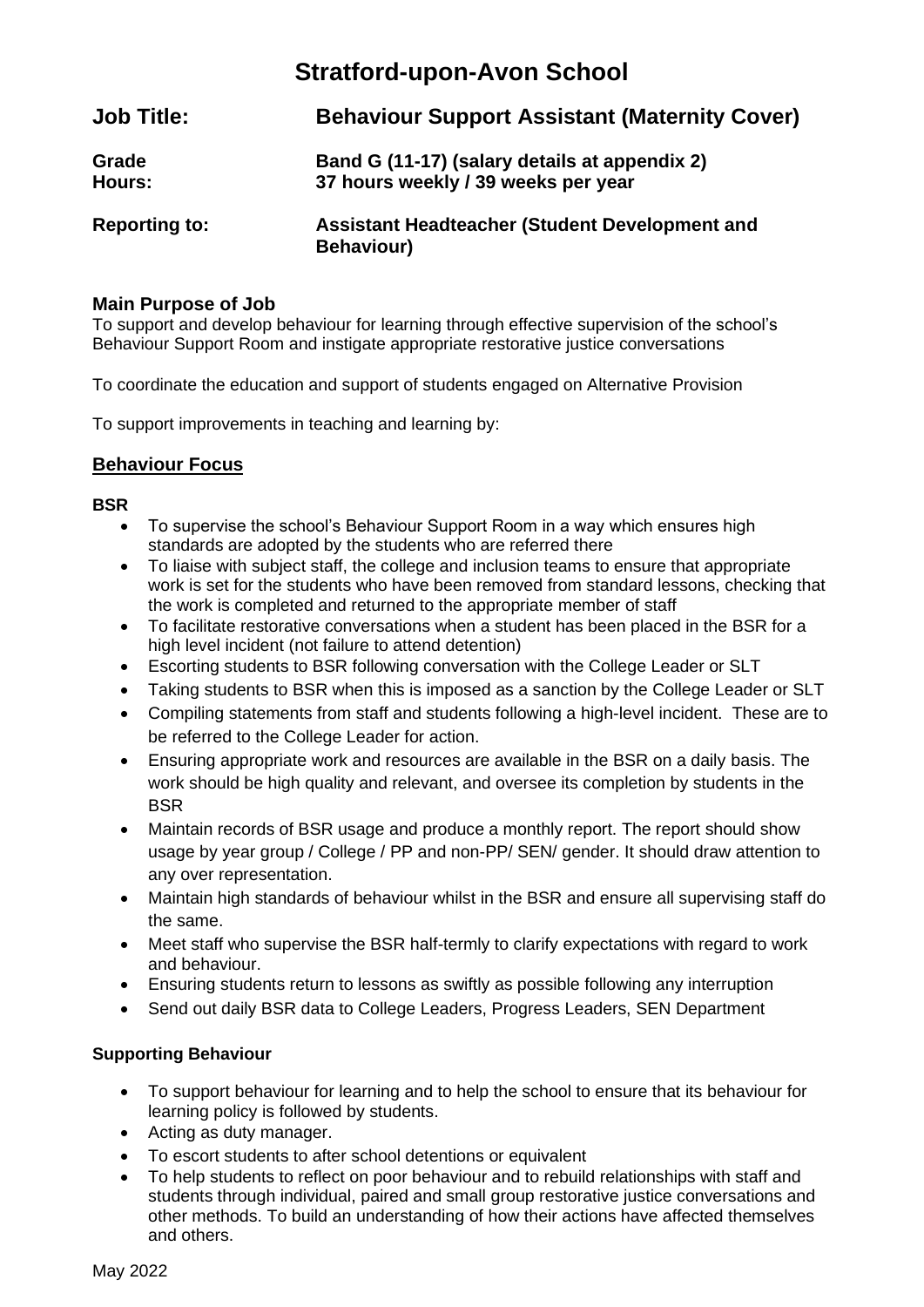## **Stratford-upon-Avon School**

| <b>Job Title:</b>    | <b>Behaviour Support Assistant (Maternity Cover)</b>                                 |
|----------------------|--------------------------------------------------------------------------------------|
| Grade<br>Hours:      | Band G (11-17) (salary details at appendix 2)<br>37 hours weekly / 39 weeks per year |
| <b>Reporting to:</b> | Assistant Headteacher (Student Development and<br><b>Behaviour)</b>                  |

### **Main Purpose of Job**

To support and develop behaviour for learning through effective supervision of the school's Behaviour Support Room and instigate appropriate restorative justice conversations

To coordinate the education and support of students engaged on Alternative Provision

To support improvements in teaching and learning by:

## **Behaviour Focus**

#### **BSR**

- To supervise the school's Behaviour Support Room in a way which ensures high standards are adopted by the students who are referred there
- To liaise with subject staff, the college and inclusion teams to ensure that appropriate work is set for the students who have been removed from standard lessons, checking that the work is completed and returned to the appropriate member of staff
- To facilitate restorative conversations when a student has been placed in the BSR for a high level incident (not failure to attend detention)
- Escorting students to BSR following conversation with the College Leader or SLT
- Taking students to BSR when this is imposed as a sanction by the College Leader or SLT
- Compiling statements from staff and students following a high-level incident. These are to be referred to the College Leader for action.
- Ensuring appropriate work and resources are available in the BSR on a daily basis. The work should be high quality and relevant, and oversee its completion by students in the **BSR**
- Maintain records of BSR usage and produce a monthly report. The report should show usage by year group / College / PP and non-PP/ SEN/ gender. It should draw attention to any over representation.
- Maintain high standards of behaviour whilst in the BSR and ensure all supervising staff do the same.
- Meet staff who supervise the BSR half-termly to clarify expectations with regard to work and behaviour.
- Ensuring students return to lessons as swiftly as possible following any interruption
- Send out daily BSR data to College Leaders, Progress Leaders, SEN Department

## **Supporting Behaviour**

- To support behaviour for learning and to help the school to ensure that its behaviour for learning policy is followed by students.
- Acting as duty manager.
- To escort students to after school detentions or equivalent
- To help students to reflect on poor behaviour and to rebuild relationships with staff and students through individual, paired and small group restorative justice conversations and other methods. To build an understanding of how their actions have affected themselves and others.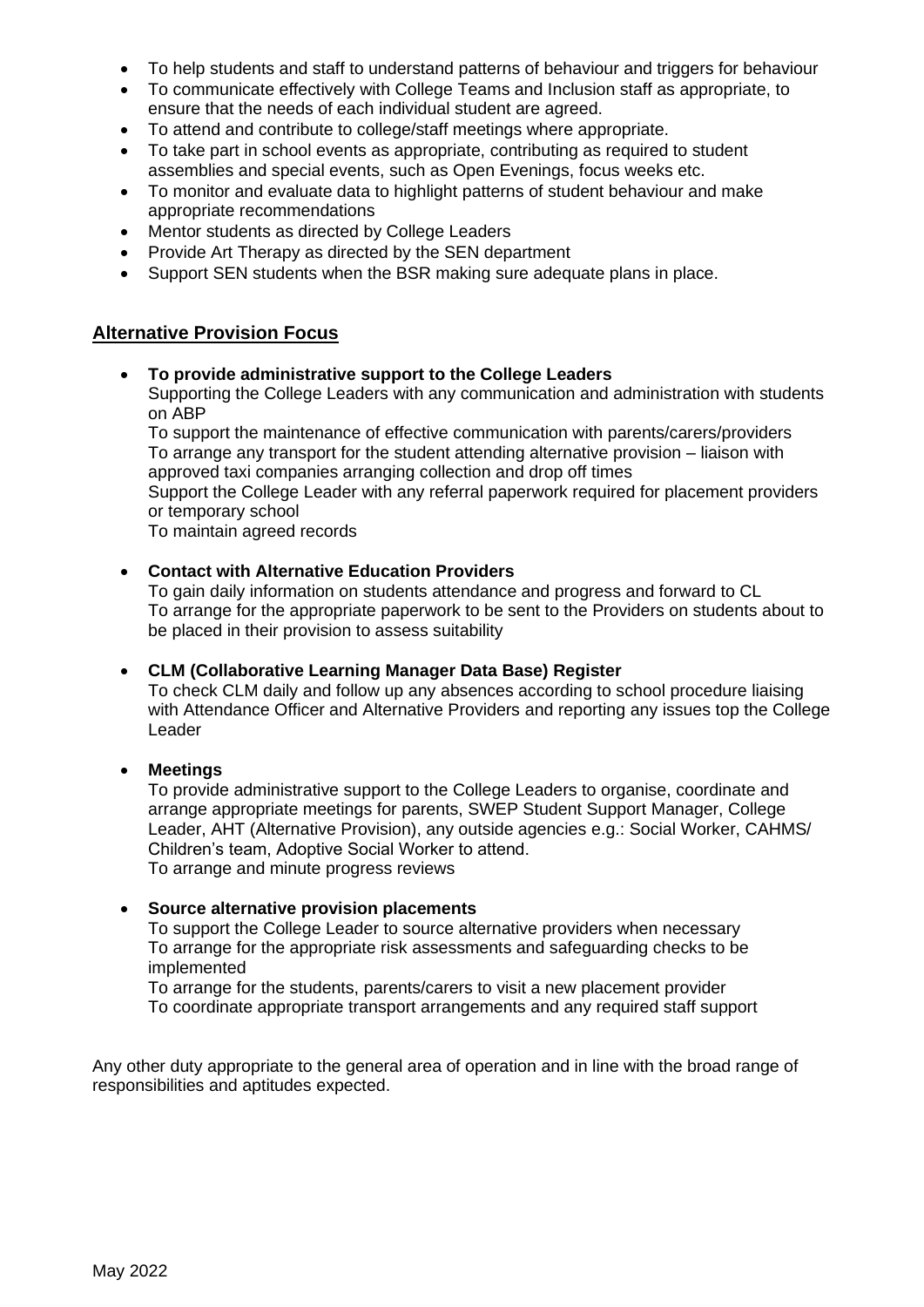- To help students and staff to understand patterns of behaviour and triggers for behaviour
- To communicate effectively with College Teams and Inclusion staff as appropriate, to ensure that the needs of each individual student are agreed.
- To attend and contribute to college/staff meetings where appropriate.
- To take part in school events as appropriate, contributing as required to student assemblies and special events, such as Open Evenings, focus weeks etc.
- To monitor and evaluate data to highlight patterns of student behaviour and make appropriate recommendations
- Mentor students as directed by College Leaders
- Provide Art Therapy as directed by the SEN department
- Support SEN students when the BSR making sure adequate plans in place.

## **Alternative Provision Focus**

### • **To provide administrative support to the College Leaders**

Supporting the College Leaders with any communication and administration with students on ABP

To support the maintenance of effective communication with parents/carers/providers To arrange any transport for the student attending alternative provision – liaison with approved taxi companies arranging collection and drop off times

Support the College Leader with any referral paperwork required for placement providers or temporary school

To maintain agreed records

#### • **Contact with Alternative Education Providers**

To gain daily information on students attendance and progress and forward to CL To arrange for the appropriate paperwork to be sent to the Providers on students about to be placed in their provision to assess suitability

#### • **CLM (Collaborative Learning Manager Data Base) Register**

To check CLM daily and follow up any absences according to school procedure liaising with Attendance Officer and Alternative Providers and reporting any issues top the College Leader

#### • **Meetings**

To provide administrative support to the College Leaders to organise, coordinate and arrange appropriate meetings for parents, SWEP Student Support Manager, College Leader, AHT (Alternative Provision), any outside agencies e.g.: Social Worker, CAHMS/ Children's team, Adoptive Social Worker to attend. To arrange and minute progress reviews

#### • **Source alternative provision placements**

To support the College Leader to source alternative providers when necessary To arrange for the appropriate risk assessments and safeguarding checks to be implemented

To arrange for the students, parents/carers to visit a new placement provider To coordinate appropriate transport arrangements and any required staff support

Any other duty appropriate to the general area of operation and in line with the broad range of responsibilities and aptitudes expected.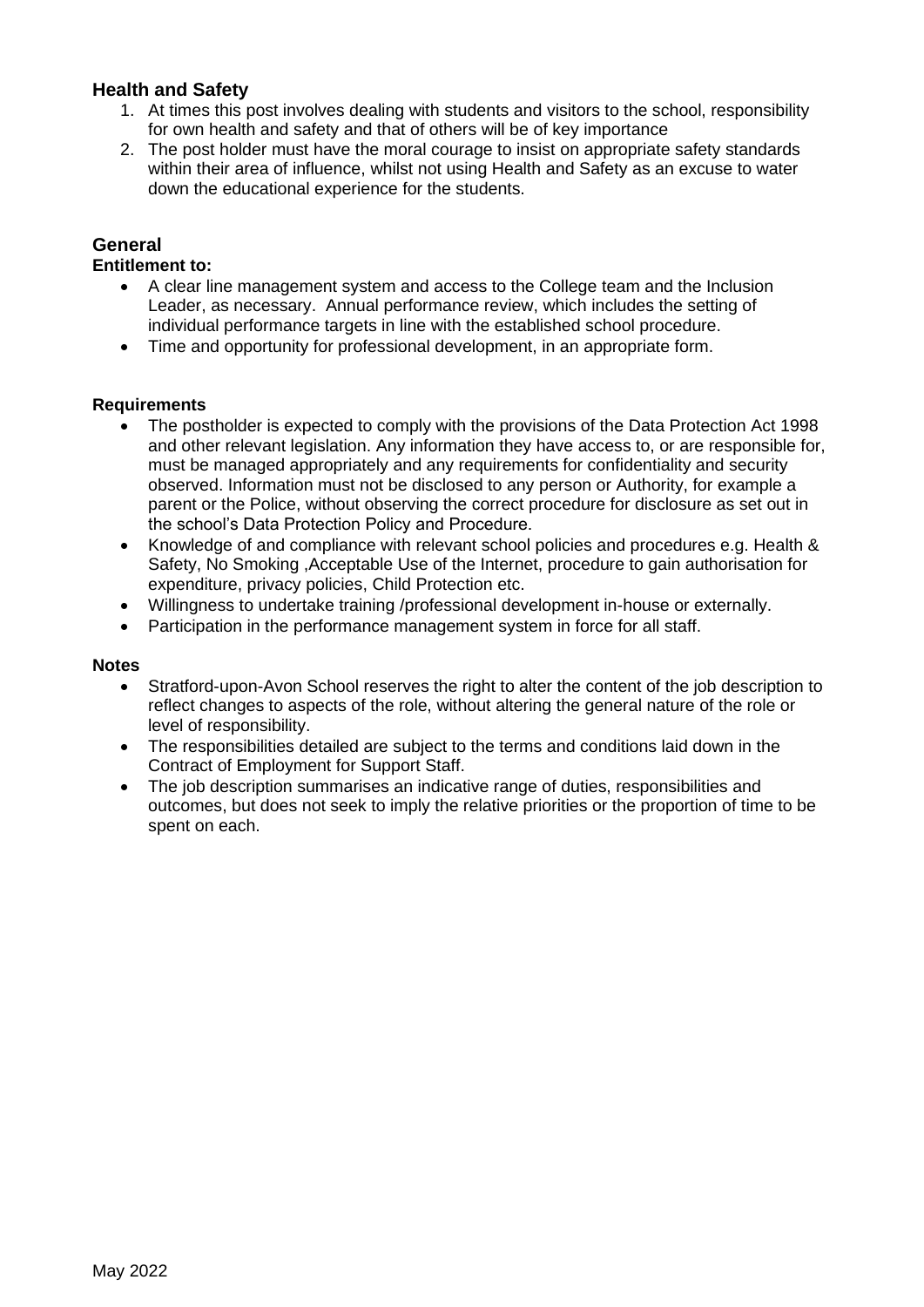## **Health and Safety**

- 1. At times this post involves dealing with students and visitors to the school, responsibility for own health and safety and that of others will be of key importance
- 2. The post holder must have the moral courage to insist on appropriate safety standards within their area of influence, whilst not using Health and Safety as an excuse to water down the educational experience for the students.

### **General**

#### **Entitlement to:**

- A clear line management system and access to the College team and the Inclusion Leader, as necessary. Annual performance review, which includes the setting of individual performance targets in line with the established school procedure.
- Time and opportunity for professional development, in an appropriate form.

#### **Requirements**

- The postholder is expected to comply with the provisions of the Data Protection Act 1998 and other relevant legislation. Any information they have access to, or are responsible for, must be managed appropriately and any requirements for confidentiality and security observed. Information must not be disclosed to any person or Authority, for example a parent or the Police, without observing the correct procedure for disclosure as set out in the school's Data Protection Policy and Procedure.
- Knowledge of and compliance with relevant school policies and procedures e.g. Health & Safety, No Smoking ,Acceptable Use of the Internet, procedure to gain authorisation for expenditure, privacy policies, Child Protection etc.
- Willingness to undertake training /professional development in-house or externally.
- Participation in the performance management system in force for all staff.

#### **Notes**

- Stratford-upon-Avon School reserves the right to alter the content of the job description to reflect changes to aspects of the role, without altering the general nature of the role or level of responsibility.
- The responsibilities detailed are subject to the terms and conditions laid down in the Contract of Employment for Support Staff.
- The job description summarises an indicative range of duties, responsibilities and outcomes, but does not seek to imply the relative priorities or the proportion of time to be spent on each.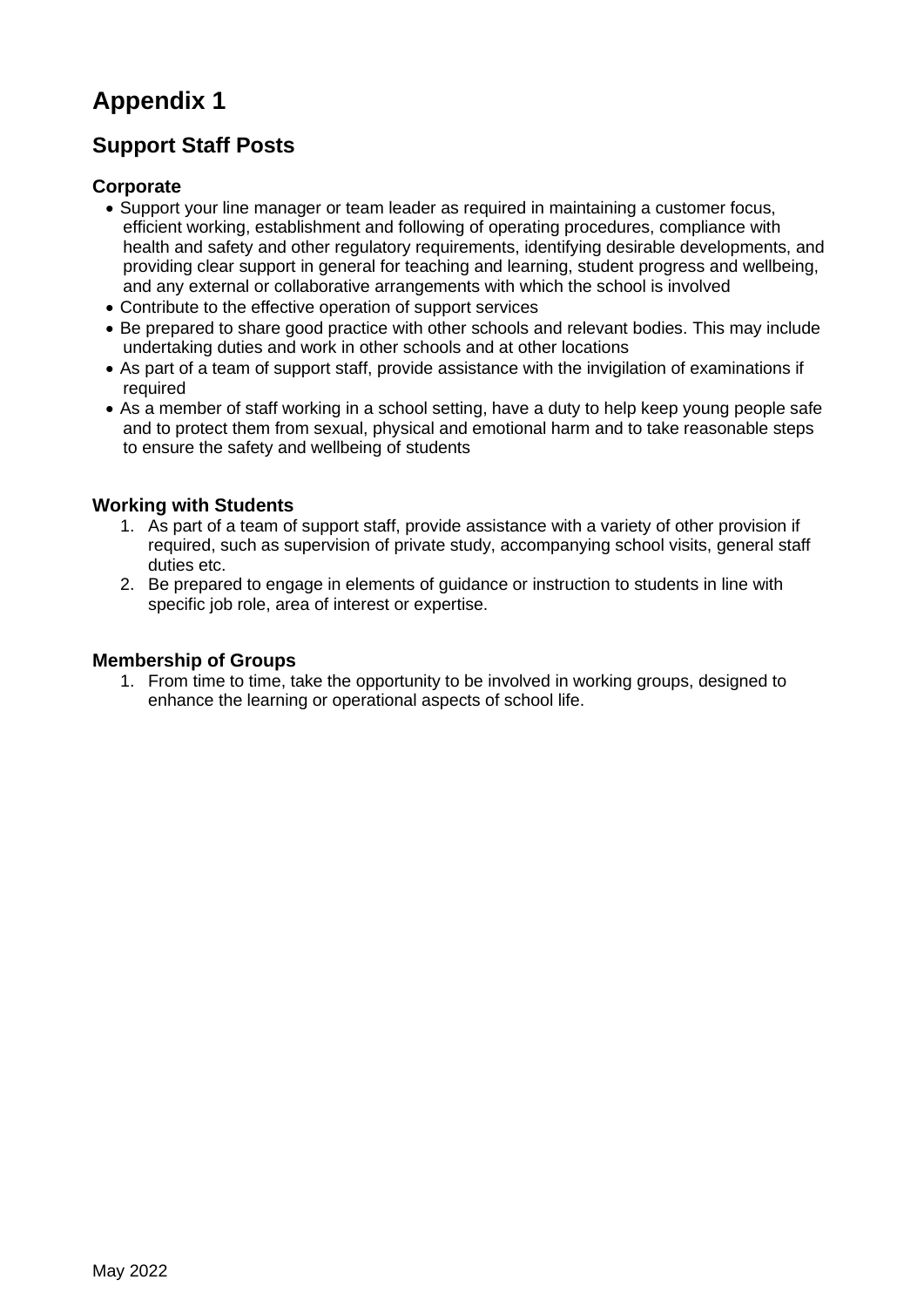# **Appendix 1**

## **Support Staff Posts**

## **Corporate**

- Support your line manager or team leader as required in maintaining a customer focus, efficient working, establishment and following of operating procedures, compliance with health and safety and other regulatory requirements, identifying desirable developments, and providing clear support in general for teaching and learning, student progress and wellbeing, and any external or collaborative arrangements with which the school is involved
- Contribute to the effective operation of support services
- Be prepared to share good practice with other schools and relevant bodies. This may include undertaking duties and work in other schools and at other locations
- As part of a team of support staff, provide assistance with the invigilation of examinations if required
- As a member of staff working in a school setting, have a duty to help keep young people safe and to protect them from sexual, physical and emotional harm and to take reasonable steps to ensure the safety and wellbeing of students

## **Working with Students**

- 1. As part of a team of support staff, provide assistance with a variety of other provision if required, such as supervision of private study, accompanying school visits, general staff duties etc.
- 2. Be prepared to engage in elements of guidance or instruction to students in line with specific job role, area of interest or expertise.

## **Membership of Groups**

1. From time to time, take the opportunity to be involved in working groups, designed to enhance the learning or operational aspects of school life.